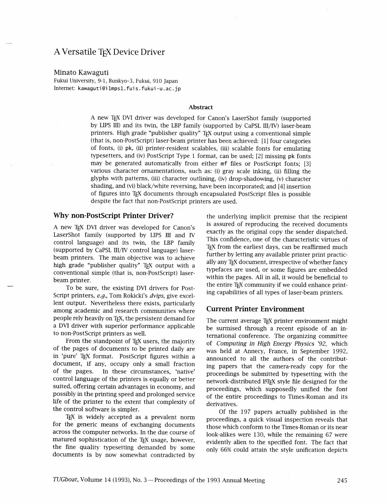## A Versatile T<sub>F</sub>X Device Driver

#### Minato Kawaguti

Fukui University, 9-1, Bunkyo-3, Fukui, 910 Japan Internet: kawaguti@i1mps1.fuis.fukui-u.ac.jp

#### **Abstract**

A new TEX DVI driver was developed for Canon's LaserShot family (supported by LIPS III) and its twin, the LBP family (supported by CaPSL III/IV) laser-beam printers. High grade "publisher quality" TFX output using a conventional simple (that is, non-PostScript) laser-beam printer has been achieved: [1] four categories of fonts, (i) pk, (ii) printer-resident scalables, (iii) scalable fonts for emulating typesetters, and (iv) PostScript Type 1 format, can be used; [2] missing pk fonts may be generated automatically from either mf files or PostScript fonts; [3] various character ornamentations, such as: (i) gray scale inking, (ii) filling the glyphs with patterns, (iii) character outlining, (iv) drop-shadowing, (v) character shading, and (vi) black/white reversing, have been incorporated; and [4] insertion of figures into TEX documents through encapsulated PostScript files is possible despite the fact that non-PostScript printers are used.

## Why non-PostScript Printer Driver?

A new TEX DVI driver was developed for Canon's LaserShot family (supported by LIPS III and IV control language) and its twin, the LBP family (supported by CaPSL III/IV control language) laserbeam printers. The main objective was to achieve high grade "publisher quality" TFX output with a conventional simple (that is, non-PostScript) laserbeam printer.

To be sure, the existing DVI drivers for Post-Script printers, e.g., Tom Rokicki's dvips, give excellent output. Nevertheless there exists, particularly among academic and research communities where people rely heavily on T<sub>F</sub>X, the persistent demand for a DVI driver with superior performance applicable to non-PostScript printers as well.

From the standpoint of TFX users, the majority of the pages of documents to be printed daily are in 'pure' TEX format. PostScript figures within a document, if any, occupy only a small fraction of the pages. In these circumstances, 'native' control language of the printers is equally or better suited, offering certain advantages in economy, and possibly in the printing speed and prolonged service life of the printer to the extent that complexity of the control software is simpler.

T<sub>E</sub>X is widely accepted as a prevalent norm for the generic means of exchanging documents across the computer networks. In the due course of matured sophistication of the TEX usage, however, the fine quality typesetting demanded by some documents is by now somewhat contradicted by

the underlying implicit premise that the recipient is assured of reproducing the received documents exactly as the original copy the sender dispatched. This confidence, one of the characteristic virtues of TEX from the earliest days, can be reaffirmed much further by letting any available printer print practically any TEX document, irrespective of whether fancy typefaces are used, or some figures are embedded within the pages. All in all, it would be beneficial to the entire T<sub>F</sub>X community if we could enhance printing capabilities of all types of laser-beam printers.

#### **Current Printer Environment**

The current average T<sub>F</sub>X printer environment might be surmised through a recent episode of an international conference. The organizing committee of Computing in High Energy Physics '92, which was held at Annecy, France, in September 1992, announced to all the authors of the contributing papers that the camera-ready copy for the proceedings be submitted by typesetting with the network-distributed IATEX style file designed for the proceedings, which supposedly unified the font of the entire proceedings to Times-Roman and its derivatives.

Of the 197 papers actually published in the proceedings, a quick visual inspection reveals that those which conform to the Times-Roman or its near look-alikes were 130, while the remaining 67 were evidently alien to the specified font. The fact that only 66% could attain the style unification depicts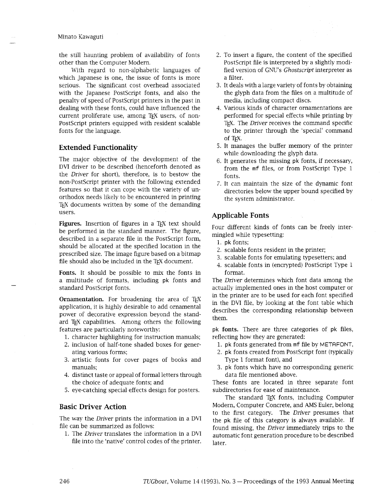#### Minato Kawaguti

the still haunting problem of availability of fonts other than the Computer Modern.

With regard to non-alphabetic languages of which Japanese is one, the issue of fonts is more serious. The significant cost overhead associated with the Japanese PostScript fonts, and also the penalty of speed of PostScript printers in the past in dealing with these fonts, could have influenced the current proliferate use, among T<sub>F</sub>X users, of non-PostScript printers equipped with resident scalable fonts for the language.

## **Extended Functionality**

The major objective of the development of the DVI driver to be described (henceforth denoted as the *Driver* for short), therefore, is to bestow the non-Postscript printer with the following extended features so that it can cope with the variety of unorthodox needs likely to be encountered in printing T<sub>EX</sub> documents written by some of the demanding users.

Figures. Insertion of figures in a TEX text should be performed in the standard manner. The figure, described in a separate file in the PostScript form, should be allocated at the specified location in the prescribed size. The image figure based on a bitmap file should also be included in the TEX document.

**Fonts.** It should be possible to mix the fonts in a multitude of formats, including pk fonts and standard PostScript fonts.

**Ornamentation.** For broadening the area of TEX application, it is highly desirable to add ornamental power of decorative expression beyond the standard TEX capabilities. Among others the following features are particularly noteworthy:

- 1. character highlighting for instruction manuals;
- 2. inclusion of half-tone shaded boxes for generating various forms;
- 3. artistic fonts for cover pages of books and manuals;
- 4. distinct taste or appeal of formal letters through the choice of adequate fonts; and
- 5. eye-catching special effects design for posters.

## **Basic Driver Action**

The way the *Driver* prints the information in a DVI file can be summarized as follows:

1. The *Driver* translates the information in a DVI file into the 'native' control codes of the printer.

- 2. To insert a figure, the content of the specified PostScript file is interpreted by a slightly modified version of GNU'S Ghostscript interpreter as a filter.
- It deals with a large variety of fonts by obtaining the glyph data from the files on a multitude of media, including compact discs.
- 4. Various kinds of character ornamentations are performed for special effects whde printing by TEX. The *Driver* receives the command specific to the printer through the 'special' command of TEX.
- It manages the buffer memory of the printer while downloading the glyph data.
- 6. It generates the missing pk fonts, if necessary, from the mf files, or from PostScript Type 1 fonts.
- 7. It can maintain the size of the dynamic font directories below the upper bound specified by the system administrator.

## **Applicable Fonts**

Four different kinds of fonts can be freely intermingled while typesetting:

- 1. pk fonts;
- 2. scalable fonts resident in the printer;
- 3. scalable fonts for emulating typesetters; and
- 4. scalable fonts in (encrypted) PostScript Type 1 format.

The *Driver* determines which font data among the actually implemented ones in the host computer or in the printer are to be used for each font specified in the DVI file, by looking at the font table which describes the corresponding relationship between them.

pk **fonts.** There are three categories of pk files, reflecting how they are generated:

- 1. pk fonts generated from mf file by METAFONT,
- 2. pk fonts created from PostScript font (typically Type 1 format font), and
- 3. pk fonts which have no corresponding generic data file mentioned above.

These fonts are located in three separate font subdirectories for ease of maintenance.

The standard TEX fonts, including Computer Modern, Computer Concrete, and **AMS** Euler, belong to the first category. The *Driver* presumes that the pk file of this category is always available. If found missing, the *Driver* immediately trips to the automatic font generation procedure to be described later.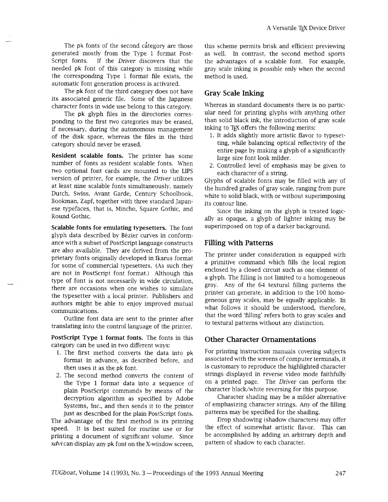The pk fonts of the second category are those generated mostly from the Type 1 format Post-Script fonts. If the *Driver* discovers that the needed pk font of this category is missing while the corresponding Type 1 format file exists, the automatic font generation process is activated.

The pk font of the third category does not have its associated generic file. Some of the Japanese character fonts in wide use belong to this category.

The pk glyph files in the directories corresponding to the first two categories may be erased, if necessary, during the autonomous management of the disk space, whereas the files in the thrd category should never be erased.

**Resident scalable fonts.** The printer has some number of fonts as resident scalable fonts. When two optional font cards are mounted to the LIPS version of printer, for example, the *Driver* utilizes at least nine scalable fonts simultaneously, namely Dutch, Swiss, Avant Garde, Century Schoolbook, Bookman, Zapf, together with three standard Japanese typefaces, that is, Mincho, Square Gothic, and Round Gothic.

**Scalable fonts for emulating typesetters.** The font glyph data described by Bezier curves in conformance with a subset of PostScript language constructs are also available. They are derived from the proprietary fonts originally developed in Ikarus format for some of commercial typesetters. (As such they are not in PostScript font format.) Although this type of font is not necessarily in wide circulation, there are occasions when one wishes to simulate the typesetter with a local printer. Publishers and authors might be able to enjoy improved mutual communications.

Outline font data are sent to the printer after translating into the control language of the printer.

**PostScript Type 1 format fonts.** The fonts **in** ths category can be used in two different ways:

- 1. The first method converts the data into pk format in advance, as described before, and then uses it as the pk font.
- 2. The second method converts the content of the Type 1 format data into a sequence of plain PostScript commands by means of the decryption algorithm as specified by Adobe Systems, Inc., and then sends it to the printer just as described for the plain PostScript fonts.

The advantage of the first method is its printing speed. It is best suited for routine use or for printing a document of significant volume. Since xdvi can display any pk font on the X-window screen,

this scheme permits brisk and efficient previewing as well. In contrast, the second method sports the advantages of a scalable font. For example, gray scale inking is possible only when the second method is used.

#### **Gray Scale Inking**

Whereas in standard documents there is no particular need for printing glyphs with anything other than solid black ink, the introduction of gray scale inking to TFX offers the following merits:

- 1. It adds slightly more artistic flavor to typesetting, whle balancing optical reflectivity of the entire page by making a glyph of a significantly large size font look milder.
- 2. Controlled level of emphasis may be given to each character of a string.

Glyphs of scalable fonts may be filled with any of the hundred grades of gray scale, ranging from pure white to solid black, with or without superimposing its contour line.

Since the inking on the glyph is treated logically as opaque, a glyph of lighter inking may be superimposed on top of a darker background.

#### **Filling with Patterns**

The printer under consideration is equipped with a primitive command which fills the local region enclosed by a closed circuit such as one element of a glyph. The filling is not limited to a homogeneous gray. Any of the 64 textural filling patterns the printer can generate, in addition to the 100 homogeneous gray scales, may be equally applicable. In what follows it should be understood, therefore, that the word 'fiiling' refers both to gray scales and to textural patterns without any distinction.

## **Other Character Ornamentations**

For printing instruction manuals covering subjects associated with the screens of computer terminals, it is customary to reproduce the highlighted character strings displayed in reverse video mode faithfully on a printed page. The *Driver* can perform the character black/white reversing for this purpose.

Character shading may be a milder alternative of emphasizing character strings. Any of the filling patterns may be specified for the shading.

Drop shadowing (shadow characters) may offer the effect of somewhat artistic flavor. This can be accomplished by adding an arbitrary depth and pattern of shadow to each character.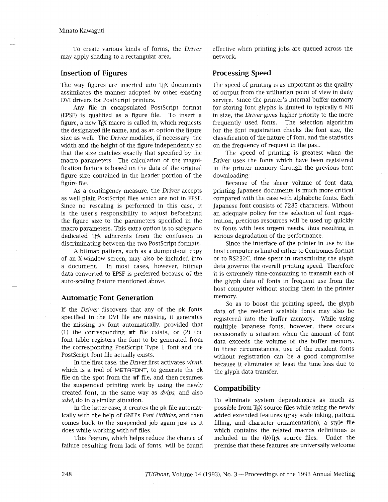#### Minato Kawaguti

To create various kinds of forms, the Driver may apply shading to a rectangular area.

## **Insertion of Figures**

The way figures are inserted into TEX documents assimilates the manner adopted by other existing DVI drivers for PostScript printers.

Any file in encapsulated PostScript format (EPSF) is qualified as a figure file. To insert a figure, a new TEX macro is called in, which requests the designated file name, and as an option the figure size as well. The Driver modifies, if necessary, the width and the height of the figure independently so that the size matches exactly that specified by the macro parameters. The calculation of the magnification factors is based on the data of the original figure size contained in the header portion of the figure file.

As a contingency measure, the Driver accepts as well plain PostScript files which are not in EPSF. Since no rescaling is performed in this case, it is the user's responsibility to adjust beforehand the figure size to the parameters specified in the macro parameters. This extra option is to safeguard dedicated T<sub>F</sub>X adherents from the confusion in discriminating between the two PostScript formats.

A bitmap pattern, such as a dumped-out copy of an X-window screen, may also be included into a document. In most cases, however, bitmap data converted to EPSF is preferred because of the auto-scaling feature mentioned above.

#### **Automatic Font Generation**

If the Driver discovers that any of the pk fonts specified in the DVI file are missing, it generates the missing pk font automatically, provided that (1) the corresponding mf file exists, or (2) the font table registers the font to be generated from the corresponding PostScript Type 1 font and the PostScript font file actually exists.

In the first case, the *Driver* first activates *virmf*, which is a tool of METAFONT, to generate the pk file on the spot from the mf file, and then resumes the suspended printing work by using the newly created font, in the same way as dvips, and also *xdvi,* do in a similar situation.

In the larter case, it creates the pk file automatically with the help of GNU'S *Font Utilities,* and then comes back to the suspended job again just as it does while working with mf files.

This feature, which helps reduce the chance of failure resulting from lack of fonts, will be found effective when printing jobs are queued across the network.

## **Processing Speed**

The speed of printing is as important as the quality of output from the utilitarian point of view in daily service. Since the printer's internal buffer memory for storing font glyphs is limited to typically 6 MB in size, the Driver gives higher priority to the more frequently used fonts. The selection algorithm for the font registration checks the font size, the classification of the nature of font, and the statistics on the frequency of request in the past.

The speed of printing is greatest when the Driver uses the fonts which have been registered in the printer memory through the previous font downloading.

Because of the sheer volume of font data, printing Japanese documents is much more critical compared with the case with alphabetic fonts. Each Japanese font consists of 7285 characters. Without an adequate policy for the selection of font registration, precious resources will be used up quickly by fonts with less urgent needs, thus resulting in serious degradation of the performance.

Since the interface of the printer in use by the host computer is limited either to Centronics format or to RS232C, time spent in transmitting the glyph data governs the overall printing speed. Therefore it is extremely time-consuming to transmit each of the glyph data of fonts in frequent use from the host computer without storing them in the printer memory.

So as to boost the printing speed, the glyph data of the resident scalable fonts may also be registered into the buffer memory. Whde using multiple Japanese fonts, however, there occurs occasionally a situation when the amount of font data exceeds the volume of the buffer memory. In these circumstances, use of the resident fonts without registration can be a good compromise because it eliminates at least the time loss due to the glyph data transfer.

## **Compatibility**

To eliminate system dependencies as much as possible from TEX source files while using the newly added extended features (gray scale inking, pattern filling, and character ornamentation), a style file which contains the related macros definitions is included in the (E)TEX source files. Under the premise that these features are universally welcome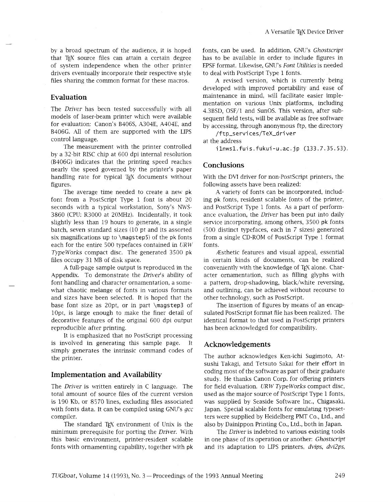by a broad spectrum of the audience, it is hoped that T<sub>F</sub>X source files can attain a certain degree of system independence when the other printer drivers eventually incorporate their respective style files sharing the common format for these macros.

#### **Evaluation**

The *Driver* has been tested successfully with all models of laser-beam printer which were available for evaluation: Canon's B406S, A304E, A404E, and B406G. All of them are supported with the LIPS control language.

The measurement with the printer controlled by a 32-bit RISC chip at 600 dpi internal resolution (B406G) indicates that the printing speed reaches nearly the speed governed by the printer's paper handling rate for typical TEX documents without figures.

The average time needed to create a new pk font from a PostScript Type 1 font is about 20 seconds with a typical workstation, Sony's NWS-3860 (CPU: R3000 at 20MHz). Incidentally, it took slightly less than 19 hours to generate, in a single batch, seven standard sizes (10 pt and its assorted six magnifications up to \magsteps) of the pk fonts each for the entire 500 typefaces contained in *URW*  TypeWorks compact disc. The generated 3500 pk files occupy 31 MB of disk space.

A full-page sample output is reproduced in the Appendix. To demonstrate the Driver's ability of font handling and character ornamentation, a somewhat chaotic melange of fonts in various formats and sizes have been selected. It is hoped that the base font size as 20pt, or in part \magstep3 of 10pt, is large enough to make the finer detail of decorative features of the original 600 dpi output reproducible after printing.

It is emphasized that no PostScript processing is involved in generating this sample page. It simply generates the intrinsic command codes of the printer.

#### **Implementation and Availability**

The Driver is written entirely in C language. The total amount of source files of the current version is 190 Kb, or 8570 lines, excluding files associated with fonts data. It can be compiled using GNU's gcc compiler.

The standard TFX environment of Unix is the minimum prerequisite for porting the Driver. With this basic environment, printer-resident scalable fonts with ornamenting capability, together with pk

fonts, can be used. In addition, GNU's Ghostscript has to be available in order to include figures in EPSF format. Likewise, GNU'S Font Utilities is needed to deal with PostScript Type 1 fonts.

A revised version, which is currently being developed with improved portability and ease of maintenance in mind, will facilitate easier implementation on various Unix platforms, including 4.3BSD, OSF/1 and SunOS. Ths version, after subsequent field tests, will be available as free software by accessing, through anonymous ftp, the directory

/ftp-servi ces/TeX-dri ver

at the address

ilnws1.fuis.fukui-u.ac. jp (133.7.35.53)

## **Conclusions**

With the DVI driver for non-PostScript printers, the following assets have been realized:

A variety of fonts can be incorporated, including pk fonts, resident scalable fonts of the printer, and PostScript Type 1 fonts. As a part of performance evaluation, the Driver has been put into daily service incorporating, among others, 3500 pk fonts (500 distinct typefaces, each in 7 sizes) generated from a single CD-ROM of PostScript Type 1 format fonts.

Esthetic features and visual appeal, essential in certain kinds of documents, can be realized conveniently with the knowledge of TEX alone. Character ornamentation, such as filling glyphs with a pattern, drop-shadowing, black/whte reversing, and outlining, can be acheved without recourse to other technology, such as PostScript.

The insertion of figures by means of an encapsulated PostScript format file has been realized. The identical format to that used in PostScript printers has been acknowledged for compatibility.

#### **Acknowledgements**

The author acknowledges Ken-ichi Sugimoto, Atsushi Takagi, and Tetsuto Sakai for their effort in coding most of the software as part of their graduate study. He thanks Canon Corp. for offering printers for field evaluation. *URW TypeWorks* compact disc, used as the major source of PostScript Type 1 fonts, was supplied by Seaside Software Inc., Chigasaki, Japan. Special scalable fonts for emulating typesetters were supplied by Heidelberg PMT Co., Ltd., and also by Dainippon Printing Co., Ltd., both in Japan.

The Driver is indebted to various existing tools in one phase of its operation or another: Ghostscript and its adaptation to LIPS printers, dvips, dvi2ps,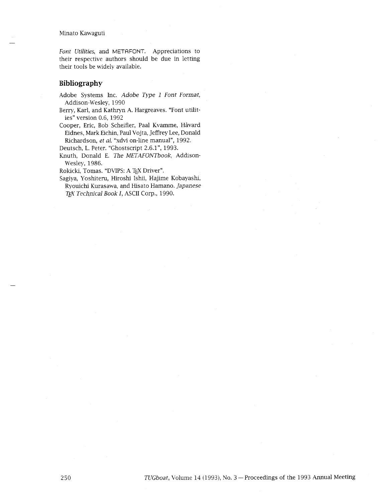Minato Kawaguti

*Font Utilities,* and *METAFONT.* Appreciations to their respective authors should be due in letting their tools be widely available.

## **Bibliography**

Adobe Systems Inc. *Adobe Type* 1 *Font Format,*  Addison-Wesley, 1990

- Berry, Karl, and Kathryn A. Hargreaves. "Font utilities" version 0.6, 1992
- Cooper, Eric, Bob Scheifler, Paal Kvamme, Håvard Eidnes, Mark Eichin, Paul Vojta, Jeffrey Lee, Donald Richardson, *et al.* "xdvi on-line manual", 1992.

Deutsch, L. Peter. "Ghostscript 2.6.1", 1993.

Knuth, Donald E. *The METAFONTbook,* Addison-Wesley, 1986.

Rokicki, Tomas. "DVIPS: A TEX Driver".

Sagiya, Yoshiteru, Hiroshi Ishii, Hajime Kobayashi, Ryouichi Kurasawa, and Hisato Hamano. *Japanese T@ Technical Book I,* ASCII Corp., 1990.